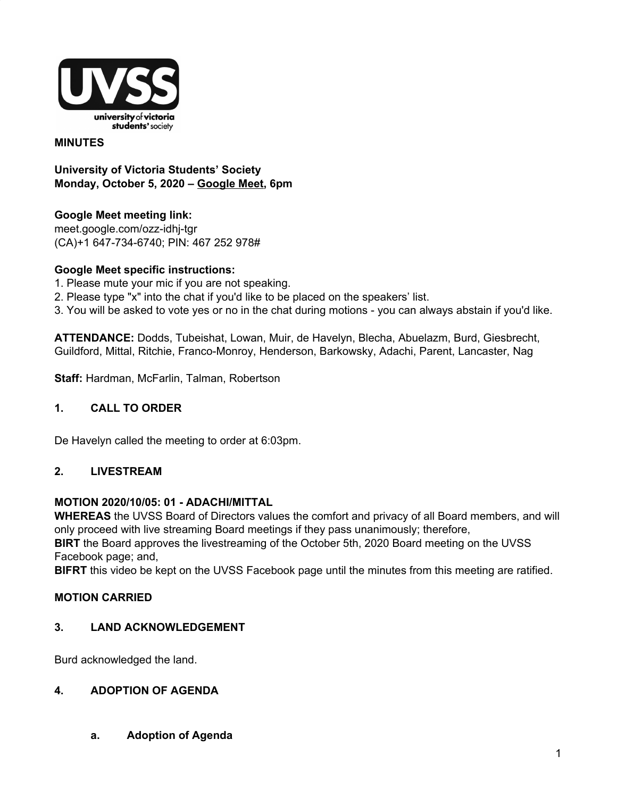

#### **MINUTES**

**University of Victoria Students' Society Monday, October 5, 2020 – Google Meet, 6pm**

**Google Meet meeting link:** meet.google.com/ozz-idhj-tgr (CA)+1 647-734-6740; PIN: 467 252 978#

## **Google Meet specific instructions:**

- 1. Please mute your mic if you are not speaking.
- 2. Please type "x" into the chat if you'd like to be placed on the speakers' list.
- 3. You will be asked to vote yes or no in the chat during motions you can always abstain if you'd like.

**ATTENDANCE:** Dodds, Tubeishat, Lowan, Muir, de Havelyn, Blecha, Abuelazm, Burd, Giesbrecht, Guildford, Mittal, Ritchie, Franco-Monroy, Henderson, Barkowsky, Adachi, Parent, Lancaster, Nag

**Staff:** Hardman, McFarlin, Talman, Robertson

#### **1. CALL TO ORDER**

De Havelyn called the meeting to order at 6:03pm.

#### **2. LIVESTREAM**

#### **MOTION 2020/10/05: 01 - ADACHI/MITTAL**

**WHEREAS** the UVSS Board of Directors values the comfort and privacy of all Board members, and will only proceed with live streaming Board meetings if they pass unanimously; therefore,

**BIRT** the Board approves the livestreaming of the October 5th, 2020 Board meeting on the UVSS Facebook page; and,

**BIFRT** this video be kept on the UVSS Facebook page until the minutes from this meeting are ratified.

#### **MOTION CARRIED**

#### **3. LAND ACKNOWLEDGEMENT**

Burd acknowledged the land.

#### **4. ADOPTION OF AGENDA**

**a. Adoption of Agenda**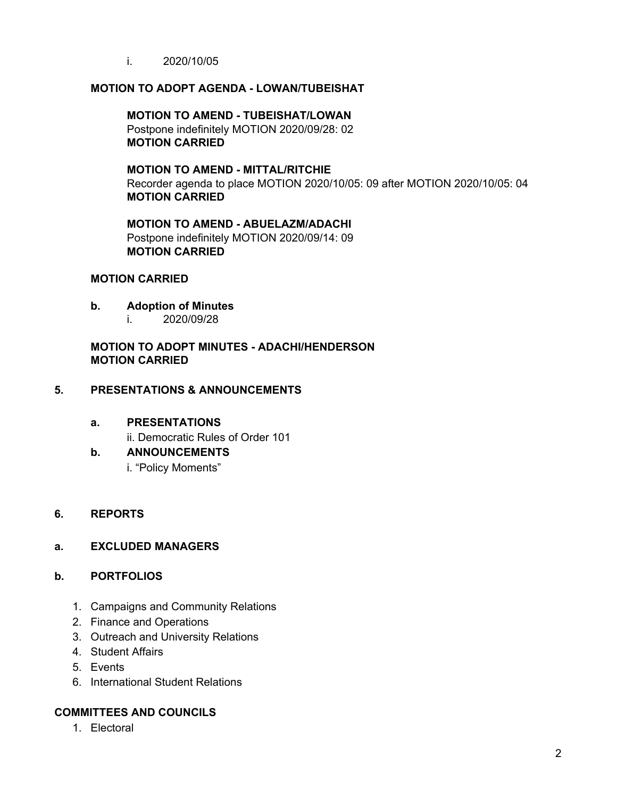i. 2020/10/05

## **MOTION TO ADOPT AGENDA - LOWAN/TUBEISHAT**

#### **MOTION TO AMEND - TUBEISHAT/LOWAN** Postpone indefinitely MOTION 2020/09/28: 02 **MOTION CARRIED**

**MOTION TO AMEND - MITTAL/RITCHIE** Recorder agenda to place MOTION 2020/10/05: 09 after MOTION 2020/10/05: 04 **MOTION CARRIED**

**MOTION TO AMEND - ABUELAZM/ADACHI** Postpone indefinitely MOTION 2020/09/14: 09 **MOTION CARRIED**

#### **MOTION CARRIED**

- **b. Adoption of Minutes**
	- i. 2020/09/28

# **MOTION TO ADOPT MINUTES - ADACHI/HENDERSON MOTION CARRIED**

## **5. PRESENTATIONS & ANNOUNCEMENTS**

#### **a. PRESENTATIONS**

ii. Democratic Rules of Order 101

# **b. ANNOUNCEMENTS**

i. "Policy Moments"

# **6. REPORTS**

#### **a. EXCLUDED MANAGERS**

# **b. PORTFOLIOS**

- 1. Campaigns and Community Relations
- 2. Finance and Operations
- 3. Outreach and University Relations
- 4. Student Affairs
- 5. Events
- 6. International Student Relations

# **COMMITTEES AND COUNCILS**

1. Electoral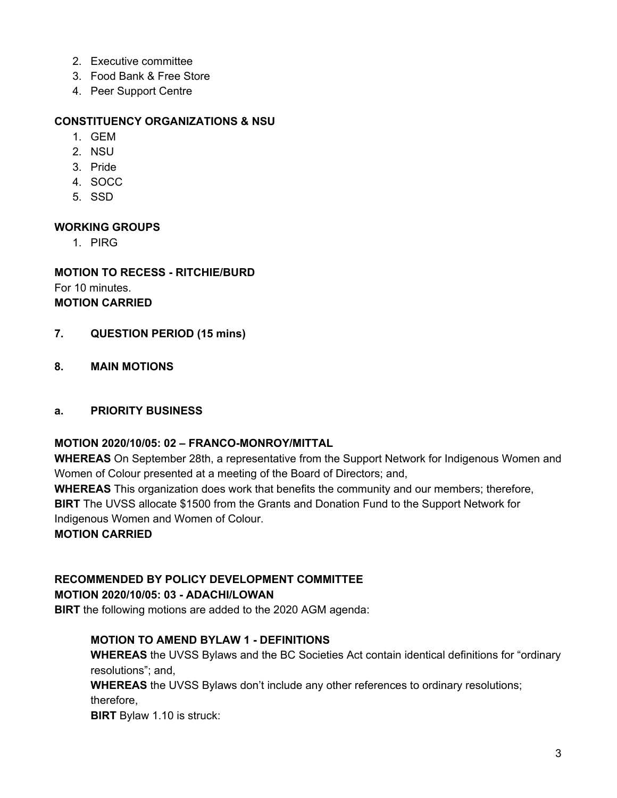- 2. Executive committee
- 3. Food Bank & Free Store
- 4. Peer Support Centre

## **CONSTITUENCY ORGANIZATIONS & NSU**

- 1. GEM
- 2. NSU
- 3. Pride
- 4. SOCC
- 5. SSD

## **WORKING GROUPS**

1. PIRG

# **MOTION TO RECESS - RITCHIE/BURD** For 10 minutes. **MOTION CARRIED**

- **7. QUESTION PERIOD (15 mins)**
- **8. MAIN MOTIONS**

#### **a. PRIORITY BUSINESS**

#### **MOTION 2020/10/05: 02 – FRANCO-MONROY/MITTAL**

**WHEREAS** On September 28th, a representative from the Support Network for Indigenous Women and Women of Colour presented at a meeting of the Board of Directors; and,

**WHEREAS** This organization does work that benefits the community and our members; therefore,

**BIRT** The UVSS allocate \$1500 from the Grants and Donation Fund to the Support Network for Indigenous Women and Women of Colour.

**MOTION CARRIED**

# **RECOMMENDED BY POLICY DEVELOPMENT COMMITTEE**

# **MOTION 2020/10/05: 03 - ADACHI/LOWAN**

**BIRT** the following motions are added to the 2020 AGM agenda:

# **MOTION TO AMEND BYLAW 1 - DEFINITIONS**

**WHEREAS** the UVSS Bylaws and the BC Societies Act contain identical definitions for "ordinary resolutions"; and,

**WHEREAS** the UVSS Bylaws don't include any other references to ordinary resolutions; therefore,

**BIRT** Bylaw 1.10 is struck: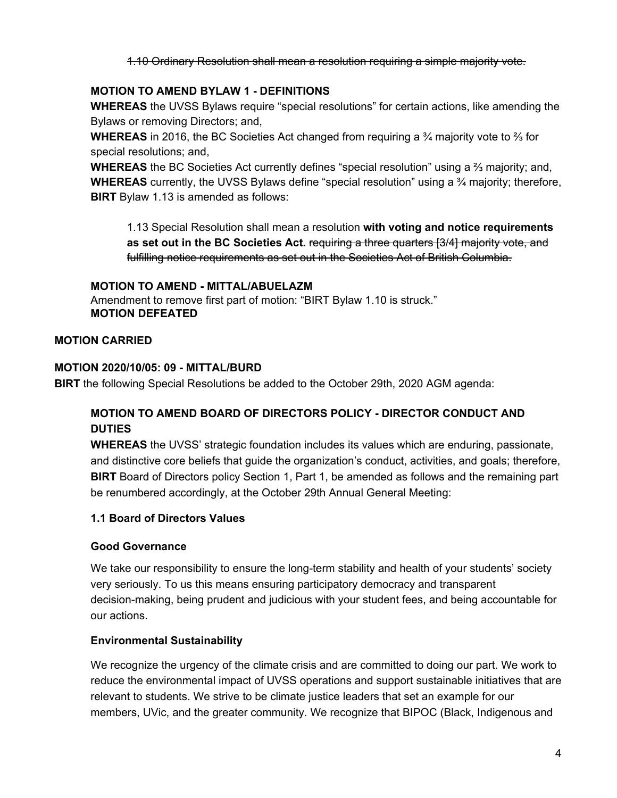1.10 Ordinary Resolution shall mean a resolution requiring a simple majority vote.

# **MOTION TO AMEND BYLAW 1 - DEFINITIONS**

**WHEREAS** the UVSS Bylaws require "special resolutions" for certain actions, like amending the Bylaws or removing Directors; and,

**WHEREAS** in 2016, the BC Societies Act changed from requiring a ¾ majority vote to ⅔ for special resolutions; and,

**WHEREAS** the BC Societies Act currently defines "special resolution" using a ⅔ majority; and, **WHEREAS** currently, the UVSS Bylaws define "special resolution" using a ¾ majority; therefore, **BIRT** Bylaw 1.13 is amended as follows:

1.13 Special Resolution shall mean a resolution **with voting and notice requirements as set out in the BC Societies Act.** requiring a three quarters [3/4] majority vote, and fulfilling notice requirements as set out in the Societies Act of British Columbia.

# **MOTION TO AMEND - MITTAL/ABUELAZM**

Amendment to remove first part of motion: "BIRT Bylaw 1.10 is struck." **MOTION DEFEATED**

# **MOTION CARRIED**

# **MOTION 2020/10/05: 09 - MITTAL/BURD**

**BIRT** the following Special Resolutions be added to the October 29th, 2020 AGM agenda:

# **MOTION TO AMEND BOARD OF DIRECTORS POLICY - DIRECTOR CONDUCT AND DUTIES**

**WHEREAS** the UVSS' strategic foundation includes its values which are enduring, passionate, and distinctive core beliefs that guide the organization's conduct, activities, and goals; therefore, **BIRT** Board of Directors policy Section 1, Part 1, be amended as follows and the remaining part be renumbered accordingly, at the October 29th Annual General Meeting:

# **1.1 Board of Directors Values**

# **Good Governance**

We take our responsibility to ensure the long-term stability and health of your students' society very seriously. To us this means ensuring participatory democracy and transparent decision-making, being prudent and judicious with your student fees, and being accountable for our actions.

# **Environmental Sustainability**

We recognize the urgency of the climate crisis and are committed to doing our part. We work to reduce the environmental impact of UVSS operations and support sustainable initiatives that are relevant to students. We strive to be climate justice leaders that set an example for our members, UVic, and the greater community. We recognize that BIPOC (Black, Indigenous and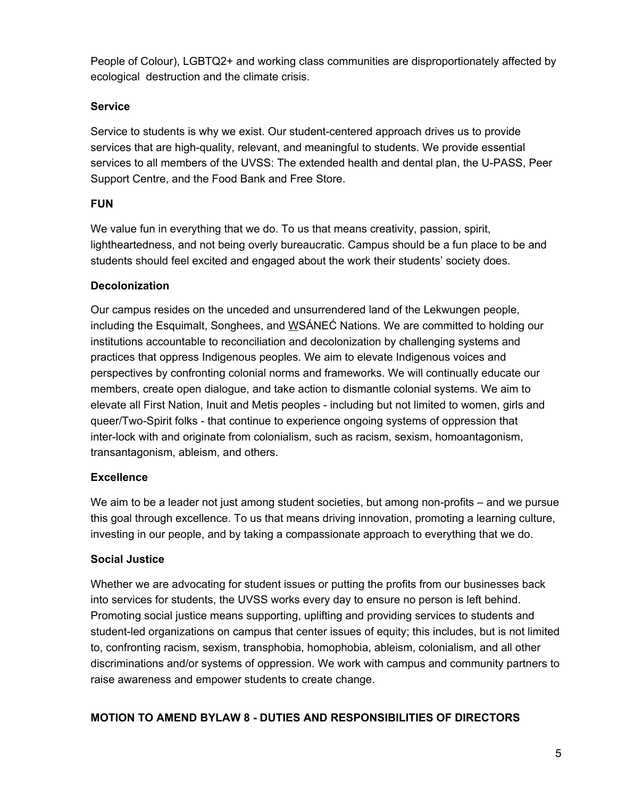People of Colour), LGBTQ2+ and working class communities are disproportionately affected by ecological destruction and the climate crisis.

# **Service**

Service to students is why we exist. Our student-centered approach drives us to provide services that are high-quality, relevant, and meaningful to students. We provide essential services to all members of the UVSS: The extended health and dental plan, the U-PASS, Peer Support Centre, and the Food Bank and Free Store.

# **FUN**

We value fun in everything that we do. To us that means creativity, passion, spirit, lightheartedness, and not being overly bureaucratic. Campus should be a fun place to be and students should feel excited and engaged about the work their students' society does.

# **Decolonization**

Our campus resides on the unceded and unsurrendered land of the Lekwungen people, including the Esquimalt, Songhees, and WSÁNEĆ Nations. We are committed to holding our institutions accountable to reconciliation and decolonization by challenging systems and practices that oppress Indigenous peoples. We aim to elevate Indigenous voices and perspectives by confronting colonial norms and frameworks. We will continually educate our members, create open dialogue, and take action to dismantle colonial systems. We aim to elevate all First Nation, Inuit and Metis peoples - including but not limited to women, girls and queer/Two-Spirit folks - that continue to experience ongoing systems of oppression that inter-lock with and originate from colonialism, such as racism, sexism, homoantagonism, transantagonism, ableism, and others.

# **Excellence**

We aim to be a leader not just among student societies, but among non-profits – and we pursue this goal through excellence. To us that means driving innovation, promoting a learning culture, investing in our people, and by taking a compassionate approach to everything that we do.

# **Social Justice**

Whether we are advocating for student issues or putting the profits from our businesses back into services for students, the UVSS works every day to ensure no person is left behind. Promoting social justice means supporting, uplifting and providing services to students and student-led organizations on campus that center issues of equity; this includes, but is not limited to, confronting racism, sexism, transphobia, homophobia, ableism, colonialism, and all other discriminations and/or systems of oppression. We work with campus and community partners to raise awareness and empower students to create change.

# **MOTION TO AMEND BYLAW 8 - DUTIES AND RESPONSIBILITIES OF DIRECTORS**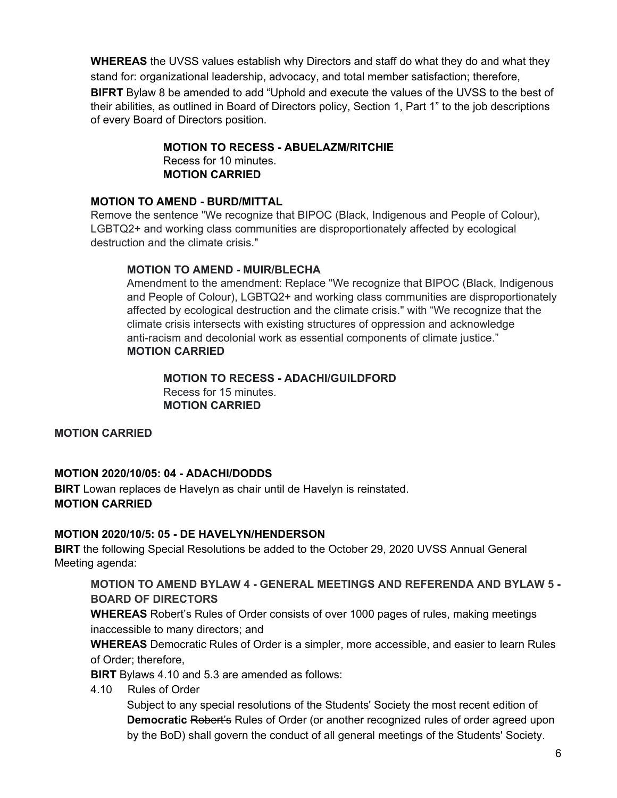**WHEREAS** the UVSS values establish why Directors and staff do what they do and what they stand for: organizational leadership, advocacy, and total member satisfaction; therefore, **BIFRT** Bylaw 8 be amended to add "Uphold and execute the values of the UVSS to the best of their abilities, as outlined in Board of Directors policy, Section 1, Part 1" to the job descriptions of every Board of Directors position.

# **MOTION TO RECESS - ABUELAZM/RITCHIE**

Recess for 10 minutes. **MOTION CARRIED**

# **MOTION TO AMEND - BURD/MITTAL**

Remove the sentence "We recognize that BIPOC (Black, Indigenous and People of Colour), LGBTQ2+ and working class communities are disproportionately affected by ecological destruction and the climate crisis."

# **MOTION TO AMEND - MUIR/BLECHA**

Amendment to the amendment: Replace "We recognize that BIPOC (Black, Indigenous and People of Colour), LGBTQ2+ and working class communities are disproportionately affected by ecological destruction and the climate crisis." with "We recognize that the climate crisis intersects with existing structures of oppression and acknowledge anti-racism and decolonial work as essential components of climate justice." **MOTION CARRIED**

#### **MOTION TO RECESS - ADACHI/GUILDFORD** Recess for 15 minutes. **MOTION CARRIED**

**MOTION CARRIED**

# **MOTION 2020/10/05: 04 - ADACHI/DODDS**

**BIRT** Lowan replaces de Havelyn as chair until de Havelyn is reinstated. **MOTION CARRIED**

# **MOTION 2020/10/5: 05 - DE HAVELYN/HENDERSON**

**BIRT** the following Special Resolutions be added to the October 29, 2020 UVSS Annual General Meeting agenda:

# **MOTION TO AMEND BYLAW 4 - GENERAL MEETINGS AND REFERENDA AND BYLAW 5 - BOARD OF DIRECTORS**

**WHEREAS** Robert's Rules of Order consists of over 1000 pages of rules, making meetings inaccessible to many directors; and

**WHEREAS** Democratic Rules of Order is a simpler, more accessible, and easier to learn Rules of Order; therefore,

**BIRT** Bylaws 4.10 and 5.3 are amended as follows:

4.10 Rules of Order

Subject to any special resolutions of the Students' Society the most recent edition of **Democratic** Robert's Rules of Order (or another recognized rules of order agreed upon by the BoD) shall govern the conduct of all general meetings of the Students' Society.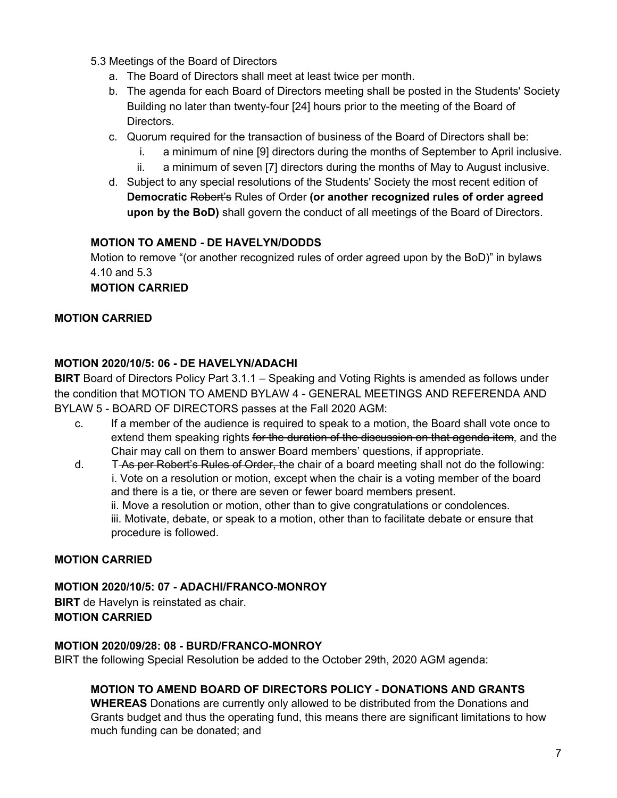- 5.3 Meetings of the Board of Directors
	- a. The Board of Directors shall meet at least twice per month.
	- b. The agenda for each Board of Directors meeting shall be posted in the Students' Society Building no later than twenty-four [24] hours prior to the meeting of the Board of Directors.
	- c. Quorum required for the transaction of business of the Board of Directors shall be:
		- i. a minimum of nine [9] directors during the months of September to April inclusive.
		- ii. a minimum of seven [7] directors during the months of May to August inclusive.
	- d. Subject to any special resolutions of the Students' Society the most recent edition of **Democratic** Robert's Rules of Order **(or another recognized rules of order agreed upon by the BoD)** shall govern the conduct of all meetings of the Board of Directors.

# **MOTION TO AMEND - DE HAVELYN/DODDS**

Motion to remove "(or another recognized rules of order agreed upon by the BoD)" in bylaws 4.10 and 5.3

# **MOTION CARRIED**

# **MOTION CARRIED**

# **MOTION 2020/10/5: 06 - DE HAVELYN/ADACHI**

**BIRT** Board of Directors Policy Part 3.1.1 – Speaking and Voting Rights is amended as follows under the condition that MOTION TO AMEND BYLAW 4 - GENERAL MEETINGS AND REFERENDA AND BYLAW 5 - BOARD OF DIRECTORS passes at the Fall 2020 AGM:

- c. If a member of the audience is required to speak to a motion, the Board shall vote once to extend them speaking rights for the duration of the discussion on that agenda item, and the Chair may call on them to answer Board members' questions, if appropriate.
- d. T<del>As per Robert's Rules of Order, t</del>he chair of a board meeting shall not do the following: i. Vote on a resolution or motion, except when the chair is a voting member of the board and there is a tie, or there are seven or fewer board members present. ii. Move a resolution or motion, other than to give congratulations or condolences. iii. Motivate, debate, or speak to a motion, other than to facilitate debate or ensure that procedure is followed.

# **MOTION CARRIED**

**MOTION 2020/10/5: 07 - ADACHI/FRANCO-MONROY BIRT** de Havelyn is reinstated as chair. **MOTION CARRIED**

#### **MOTION 2020/09/28: 08 - BURD/FRANCO-MONROY**

BIRT the following Special Resolution be added to the October 29th, 2020 AGM agenda:

# **MOTION TO AMEND BOARD OF DIRECTORS POLICY - DONATIONS AND GRANTS**

**WHEREAS** Donations are currently only allowed to be distributed from the Donations and Grants budget and thus the operating fund, this means there are significant limitations to how much funding can be donated; and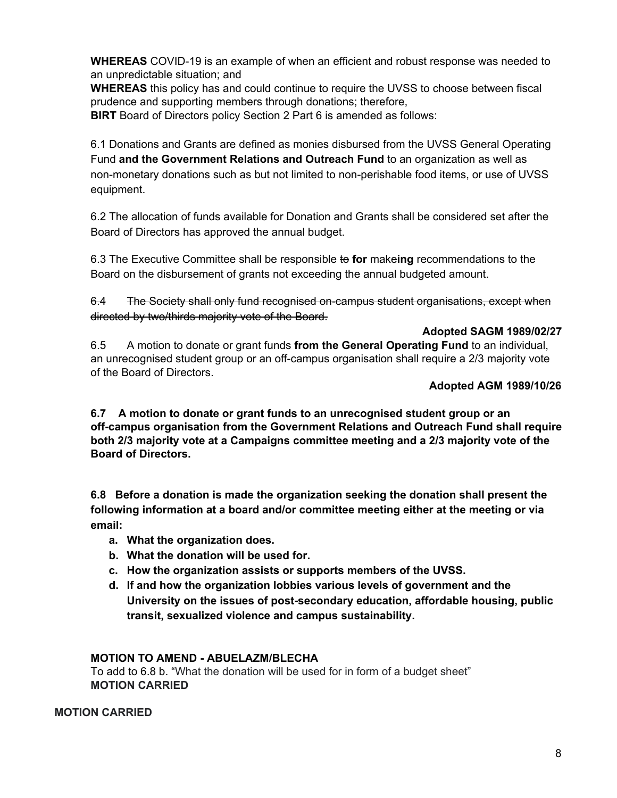**WHEREAS** COVID-19 is an example of when an efficient and robust response was needed to an unpredictable situation; and

**WHEREAS** this policy has and could continue to require the UVSS to choose between fiscal prudence and supporting members through donations; therefore,

**BIRT** Board of Directors policy Section 2 Part 6 is amended as follows:

6.1 Donations and Grants are defined as monies disbursed from the UVSS General Operating Fund **and the Government Relations and Outreach Fund** to an organization as well as non-monetary donations such as but not limited to non-perishable food items, or use of UVSS equipment.

6.2 The allocation of funds available for Donation and Grants shall be considered set after the Board of Directors has approved the annual budget.

6.3 The Executive Committee shall be responsible to **for** make**ing** recommendations to the Board on the disbursement of grants not exceeding the annual budgeted amount.

6.4 The Society shall only fund recognised on-campus student organisations, except when directed by two/thirds majority vote of the Board.

# **Adopted SAGM 1989/02/27**

6.5 A motion to donate or grant funds **from the General Operating Fund** to an individual, an unrecognised student group or an off-campus organisation shall require a 2/3 majority vote of the Board of Directors.

# **Adopted AGM 1989/10/26**

**6.7 A motion to donate or grant funds to an unrecognised student group or an off-campus organisation from the Government Relations and Outreach Fund shall require both 2/3 majority vote at a Campaigns committee meeting and a 2/3 majority vote of the Board of Directors.**

**6.8 Before a donation is made the organization seeking the donation shall present the following information at a board and/or committee meeting either at the meeting or via email:**

- **a. What the organization does.**
- **b. What the donation will be used for.**
- **c. How the organization assists or supports members of the UVSS.**
- **d. If and how the organization lobbies various levels of government and the University on the issues of post-secondary education, affordable housing, public transit, sexualized violence and campus sustainability.**

# **MOTION TO AMEND - ABUELAZM/BLECHA**

To add to 6.8 b. "What the donation will be used for in form of a budget sheet" **MOTION CARRIED**

# **MOTION CARRIED**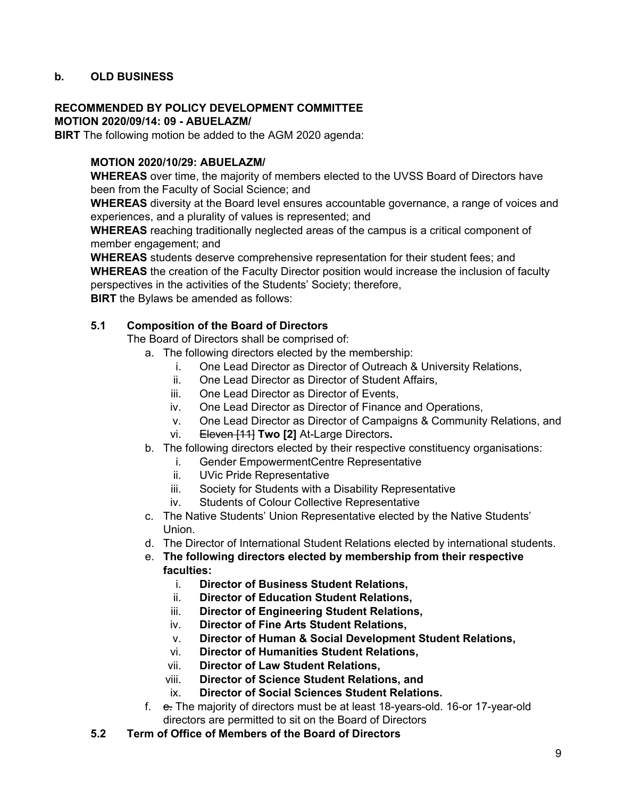# **b. OLD BUSINESS**

#### **RECOMMENDED BY POLICY DEVELOPMENT COMMITTEE**

**MOTION 2020/09/14: 09 - ABUELAZM/**

**BIRT** The following motion be added to the AGM 2020 agenda:

#### **MOTION 2020/10/29: ABUELAZM/**

**WHEREAS** over time, the majority of members elected to the UVSS Board of Directors have been from the Faculty of Social Science; and

**WHEREAS** diversity at the Board level ensures accountable governance, a range of voices and experiences, and a plurality of values is represented; and

**WHEREAS** reaching traditionally neglected areas of the campus is a critical component of member engagement; and

**WHEREAS** students deserve comprehensive representation for their student fees; and **WHEREAS** the creation of the Faculty Director position would increase the inclusion of faculty perspectives in the activities of the Students' Society; therefore, **BIRT** the Bylaws be amended as follows:

#### **5.1 Composition of the Board of Directors**

The Board of Directors shall be comprised of:

- a. The following directors elected by the membership:
	- i. One Lead Director as Director of Outreach & University Relations,
	- ii. One Lead Director as Director of Student Affairs,
	- iii. One Lead Director as Director of Events,
	- iv. One Lead Director as Director of Finance and Operations,
	- v. One Lead Director as Director of Campaigns & Community Relations, and
	- vi. Eleven [11] **Two [2]** At-Large Directors**.**
- b. The following directors elected by their respective constituency organisations:
	- i. Gender EmpowermentCentre Representative
	- ii. UVic Pride Representative
	- iii. Society for Students with a Disability Representative
	- iv. Students of Colour Collective Representative
- c. The Native Students' Union Representative elected by the Native Students' Union.
- d. The Director of International Student Relations elected by international students.
- e. **The following directors elected by membership from their respective faculties:**
	- i. **Director of Business Student Relations,**
	- ii. **Director of Education Student Relations,**
	- iii. **Director of Engineering Student Relations,**
	- iv. **Director of Fine Arts Student Relations,**
	- v. **Director of Human & Social Development Student Relations,**
	- vi. **Director of Humanities Student Relations,**
	- vii. **Director of Law Student Relations,**
	- viii. **Director of Science Student Relations, and**
	- ix. **Director of Social Sciences Student Relations.**
- f. e. The majority of directors must be at least 18-years-old. 16-or 17-year-old directors are permitted to sit on the Board of Directors
- **5.2 Term of Office of Members of the Board of Directors**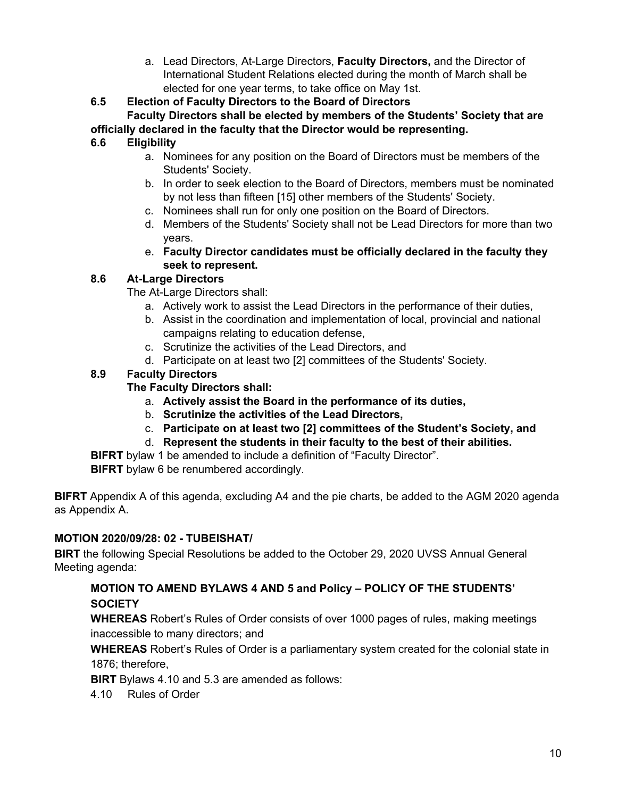a. Lead Directors, At-Large Directors, **Faculty Directors,** and the Director of International Student Relations elected during the month of March shall be elected for one year terms, to take office on May 1st.

**6.5 Election of Faculty Directors to the Board of Directors**

**Faculty Directors shall be elected by members of the Students' Society that are officially declared in the faculty that the Director would be representing.**

# **6.6 Eligibility**

- a. Nominees for any position on the Board of Directors must be members of the Students' Society.
- b. In order to seek election to the Board of Directors, members must be nominated by not less than fifteen [15] other members of the Students' Society.
- c. Nominees shall run for only one position on the Board of Directors.
- d. Members of the Students' Society shall not be Lead Directors for more than two years.
- e. **Faculty Director candidates must be officially declared in the faculty they seek to represent.**

# **8.6 At-Large Directors**

The At-Large Directors shall:

- a. Actively work to assist the Lead Directors in the performance of their duties,
- b. Assist in the coordination and implementation of local, provincial and national campaigns relating to education defense,
- c. Scrutinize the activities of the Lead Directors, and
- d. Participate on at least two [2] committees of the Students' Society.

# **8.9 Faculty Directors**

# **The Faculty Directors shall:**

- a. **Actively assist the Board in the performance of its duties,**
- b. **Scrutinize the activities of the Lead Directors,**
- c. **Participate on at least two [2] committees of the Student's Society, and**
- d. **Represent the students in their faculty to the best of their abilities.**

**BIFRT** bylaw 1 be amended to include a definition of "Faculty Director".

**BIFRT** bylaw 6 be renumbered accordingly.

**BIFRT** Appendix A of this agenda, excluding A4 and the pie charts, be added to the AGM 2020 agenda as Appendix A.

# **MOTION 2020/09/28: 02 - TUBEISHAT/**

**BIRT** the following Special Resolutions be added to the October 29, 2020 UVSS Annual General Meeting agenda:

# **MOTION TO AMEND BYLAWS 4 AND 5 and Policy – POLICY OF THE STUDENTS' SOCIETY**

**WHEREAS** Robert's Rules of Order consists of over 1000 pages of rules, making meetings inaccessible to many directors; and

**WHEREAS** Robert's Rules of Order is a parliamentary system created for the colonial state in 1876; therefore,

**BIRT** Bylaws 4.10 and 5.3 are amended as follows:

4.10 Rules of Order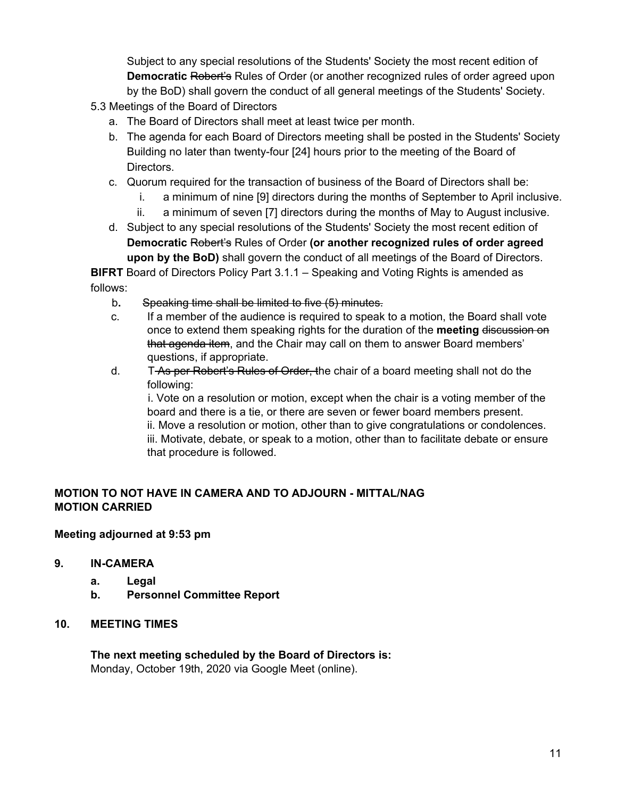Subject to any special resolutions of the Students' Society the most recent edition of **Democratic** Robert's Rules of Order (or another recognized rules of order agreed upon by the BoD) shall govern the conduct of all general meetings of the Students' Society.

- 5.3 Meetings of the Board of Directors
	- a. The Board of Directors shall meet at least twice per month.
	- b. The agenda for each Board of Directors meeting shall be posted in the Students' Society Building no later than twenty-four [24] hours prior to the meeting of the Board of Directors.
	- c. Quorum required for the transaction of business of the Board of Directors shall be:
		- i. a minimum of nine [9] directors during the months of September to April inclusive.
		- ii. a minimum of seven [7] directors during the months of May to August inclusive.
	- d. Subject to any special resolutions of the Students' Society the most recent edition of **Democratic** Robert's Rules of Order **(or another recognized rules of order agreed upon by the BoD)** shall govern the conduct of all meetings of the Board of Directors.

**BIFRT** Board of Directors Policy Part 3.1.1 – Speaking and Voting Rights is amended as follows:

- b**.** Speaking time shall be limited to five (5) minutes.
- c. If a member of the audience is required to speak to a motion, the Board shall vote once to extend them speaking rights for the duration of the **meeting** discussion on that agenda item, and the Chair may call on them to answer Board members' questions, if appropriate.
- d. T-As per Robert's Rules of Order, the chair of a board meeting shall not do the following:

i. Vote on a resolution or motion, except when the chair is a voting member of the board and there is a tie, or there are seven or fewer board members present. ii. Move a resolution or motion, other than to give congratulations or condolences. iii. Motivate, debate, or speak to a motion, other than to facilitate debate or ensure that procedure is followed.

# **MOTION TO NOT HAVE IN CAMERA AND TO ADJOURN - MITTAL/NAG MOTION CARRIED**

#### **Meeting adjourned at 9:53 pm**

#### **9. IN-CAMERA**

- **a. Legal**
- **b. Personnel Committee Report**

#### **10. MEETING TIMES**

**The next meeting scheduled by the Board of Directors is:** Monday, October 19th, 2020 via Google Meet (online).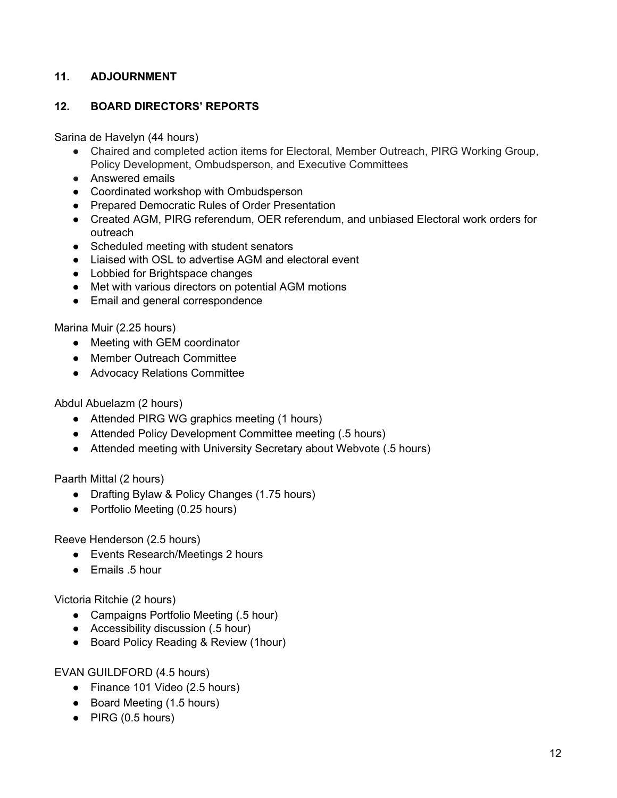# **11. ADJOURNMENT**

## **12. BOARD DIRECTORS' REPORTS**

Sarina de Havelyn (44 hours)

- Chaired and completed action items for Electoral, Member Outreach, PIRG Working Group, Policy Development, Ombudsperson, and Executive Committees
- Answered emails
- Coordinated workshop with Ombudsperson
- Prepared Democratic Rules of Order Presentation
- Created AGM, PIRG referendum, OER referendum, and unbiased Electoral work orders for outreach
- Scheduled meeting with student senators
- Liaised with OSL to advertise AGM and electoral event
- Lobbied for Brightspace changes
- Met with various directors on potential AGM motions
- Email and general correspondence

Marina Muir (2.25 hours)

- Meeting with GEM coordinator
- Member Outreach Committee
- Advocacy Relations Committee

Abdul Abuelazm (2 hours)

- Attended PIRG WG graphics meeting (1 hours)
- Attended Policy Development Committee meeting (.5 hours)
- Attended meeting with University Secretary about Webvote (.5 hours)

Paarth Mittal (2 hours)

- Drafting Bylaw & Policy Changes (1.75 hours)
- Portfolio Meeting (0.25 hours)

Reeve Henderson (2.5 hours)

- Events Research/Meetings 2 hours
- Emails .5 hour

Victoria Ritchie (2 hours)

- Campaigns Portfolio Meeting (.5 hour)
- Accessibility discussion (.5 hour)
- Board Policy Reading & Review (1hour)

EVAN GUILDFORD (4.5 hours)

- Finance 101 Video (2.5 hours)
- Board Meeting (1.5 hours)
- PIRG (0.5 hours)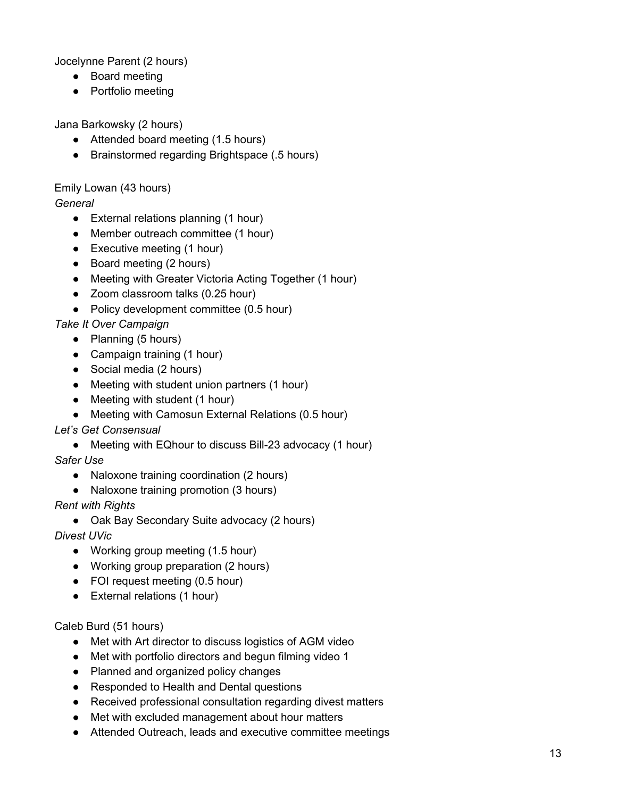Jocelynne Parent (2 hours)

- Board meeting
- Portfolio meeting

Jana Barkowsky (2 hours)

- Attended board meeting (1.5 hours)
- Brainstormed regarding Brightspace (.5 hours)

Emily Lowan (43 hours)

*General*

- External relations planning (1 hour)
- Member outreach committee (1 hour)
- Executive meeting (1 hour)
- Board meeting (2 hours)
- Meeting with Greater Victoria Acting Together (1 hour)
- Zoom classroom talks (0.25 hour)
- Policy development committee (0.5 hour)

*Take It Over Campaign*

- Planning (5 hours)
- Campaign training (1 hour)
- Social media (2 hours)
- Meeting with student union partners (1 hour)
- Meeting with student (1 hour)
- Meeting with Camosun External Relations (0.5 hour)

# *Let's Get Consensual*

● Meeting with EQhour to discuss Bill-23 advocacy (1 hour)

*Safer Use*

- Naloxone training coordination (2 hours)
- Naloxone training promotion (3 hours)

*Rent with Rights*

● Oak Bay Secondary Suite advocacy (2 hours)

*Divest UVic*

- Working group meeting (1.5 hour)
- Working group preparation (2 hours)
- FOI request meeting (0.5 hour)
- External relations (1 hour)

Caleb Burd (51 hours)

- Met with Art director to discuss logistics of AGM video
- Met with portfolio directors and begun filming video 1
- Planned and organized policy changes
- Responded to Health and Dental questions
- Received professional consultation regarding divest matters
- Met with excluded management about hour matters
- Attended Outreach, leads and executive committee meetings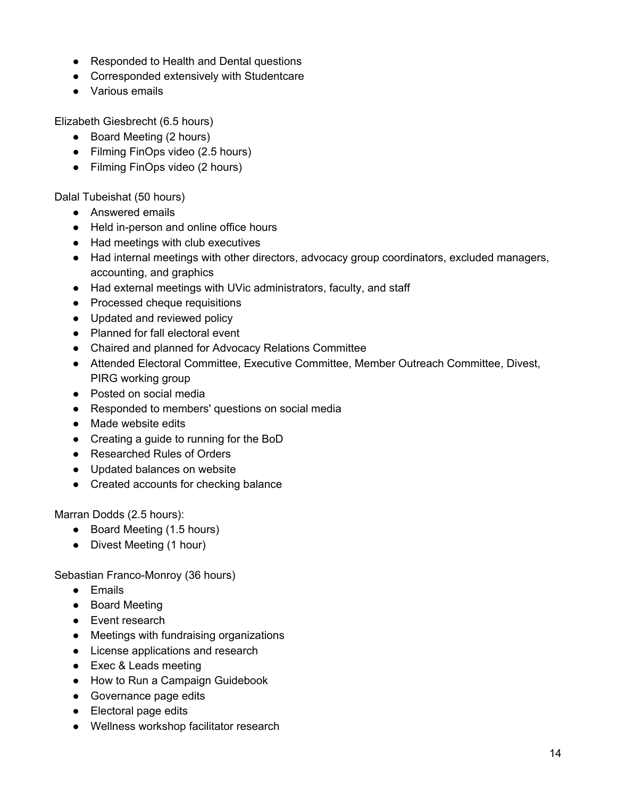- Responded to Health and Dental questions
- Corresponded extensively with Studentcare
- Various emails

Elizabeth Giesbrecht (6.5 hours)

- Board Meeting (2 hours)
- Filming FinOps video (2.5 hours)
- Filming FinOps video (2 hours)

Dalal Tubeishat (50 hours)

- Answered emails
- Held in-person and online office hours
- Had meetings with club executives
- Had internal meetings with other directors, advocacy group coordinators, excluded managers, accounting, and graphics
- Had external meetings with UVic administrators, faculty, and staff
- Processed cheque requisitions
- Updated and reviewed policy
- Planned for fall electoral event
- Chaired and planned for Advocacy Relations Committee
- Attended Electoral Committee, Executive Committee, Member Outreach Committee, Divest, PIRG working group
- Posted on social media
- Responded to members' questions on social media
- Made website edits
- Creating a guide to running for the BoD
- Researched Rules of Orders
- Updated balances on website
- Created accounts for checking balance

Marran Dodds (2.5 hours):

- Board Meeting (1.5 hours)
- Divest Meeting (1 hour)

Sebastian Franco-Monroy (36 hours)

- Emails
- Board Meeting
- Event research
- Meetings with fundraising organizations
- License applications and research
- Exec & Leads meeting
- How to Run a Campaign Guidebook
- Governance page edits
- Electoral page edits
- Wellness workshop facilitator research